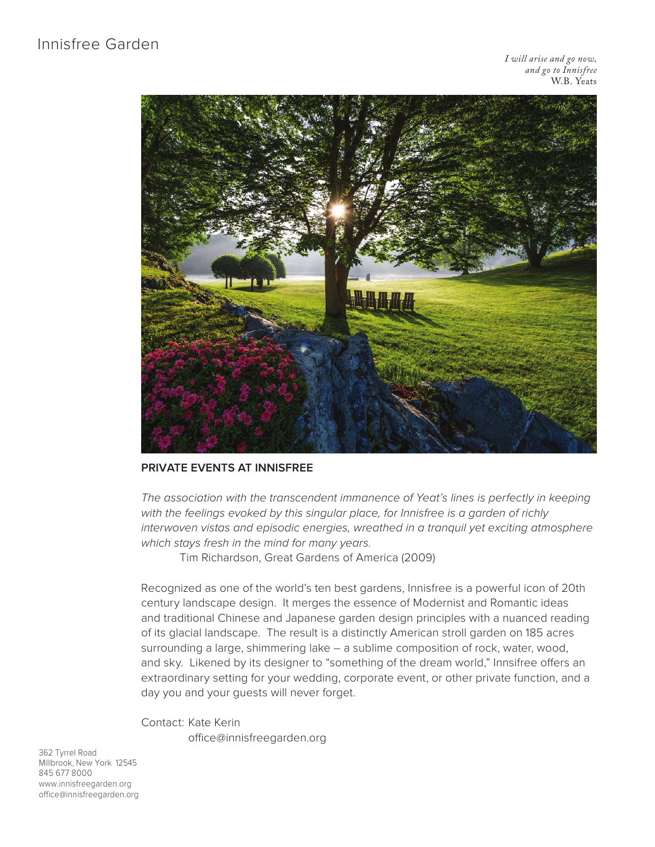*I will arise and go now, and go to Innisfree* W.B. Yeats



### **PRIVATE EVENTS AT INNISFREE**

*The association with the transcendent immanence of Yeat's lines is perfectly in keeping with the feelings evoked by this singular place, for Innisfree is a garden of richly interwoven vistas and episodic energies, wreathed in a tranquil yet exciting atmosphere which stays fresh in the mind for many years.*

Tim Richardson, Great Gardens of America (2009)

Recognized as one of the world's ten best gardens, Innisfree is a powerful icon of 20th century landscape design. It merges the essence of Modernist and Romantic ideas and traditional Chinese and Japanese garden design principles with a nuanced reading of its glacial landscape. The result is a distinctly American stroll garden on 185 acres surrounding a large, shimmering lake – a sublime composition of rock, water, wood, and sky. Likened by its designer to "something of the dream world," Innsifree offers an extraordinary setting for your wedding, corporate event, or other private function, and a day you and your guests will never forget.

Contact: Kate Kerin office@innisfreegarden.org

362 Tyrrel Road Millbrook, New York 12545 845 677 8000 www.innisfreegarden.org office@innisfreegarden.org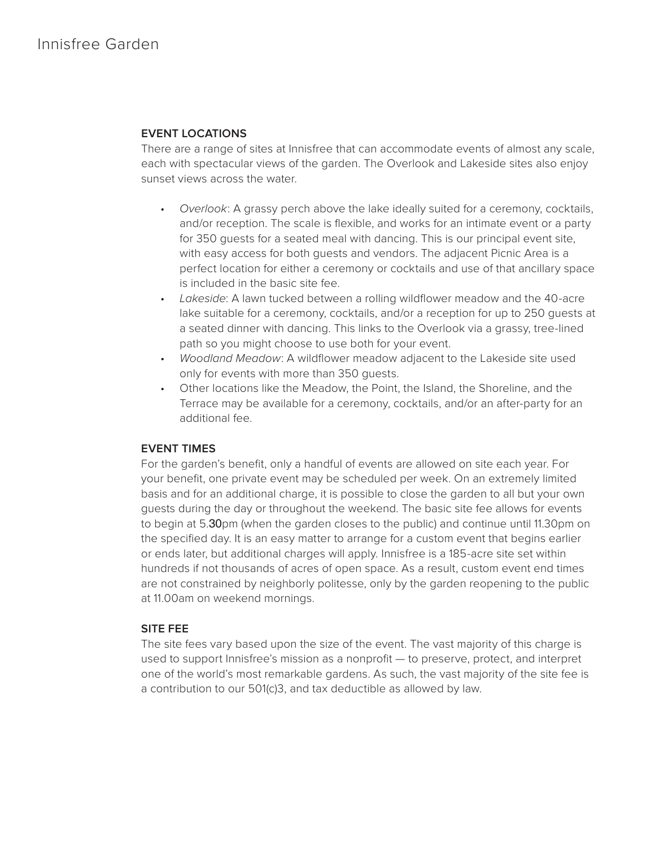### **EVENT LOCATIONS**

There are a range of sites at Innisfree that can accommodate events of almost any scale, each with spectacular views of the garden. The Overlook and Lakeside sites also enjoy sunset views across the water.

- *Overlook*: A grassy perch above the lake ideally suited for a ceremony, cocktails, and/or reception. The scale is flexible, and works for an intimate event or a party for 350 guests for a seated meal with dancing. This is our principal event site, with easy access for both guests and vendors. The adjacent Picnic Area is a perfect location for either a ceremony or cocktails and use of that ancillary space is included in the basic site fee.
- *Lakeside*: A lawn tucked between a rolling wildflower meadow and the 40-acre lake suitable for a ceremony, cocktails, and/or a reception for up to 250 guests at a seated dinner with dancing. This links to the Overlook via a grassy, tree-lined path so you might choose to use both for your event.
- *Woodland Meadow*: A wildflower meadow adjacent to the Lakeside site used only for events with more than 350 guests.
- Other locations like the Meadow, the Point, the Island, the Shoreline, and the Terrace may be available for a ceremony, cocktails, and/or an after-party for an additional fee.

# **EVENT TIMES**

For the garden's benefit, only a handful of events are allowed on site each year. For your benefit, one private event may be scheduled per week. On an extremely limited basis and for an additional charge, it is possible to close the garden to all but your own guests during the day or throughout the weekend. The basic site fee allows for events to begin at 5.30pm (when the garden closes to the public) and continue until 11.30pm on the specified day. It is an easy matter to arrange for a custom event that begins earlier or ends later, but additional charges will apply. Innisfree is a 185-acre site set within hundreds if not thousands of acres of open space. As a result, custom event end times are not constrained by neighborly politesse, only by the garden reopening to the public at 11.00am on weekend mornings.

# **SITE FEE**

The site fees vary based upon the size of the event. The vast majority of this charge is used to support Innisfree's mission as a nonprofit — to preserve, protect, and interpret one of the world's most remarkable gardens. As such, the vast majority of the site fee is a contribution to our 501(c)3, and tax deductible as allowed by law.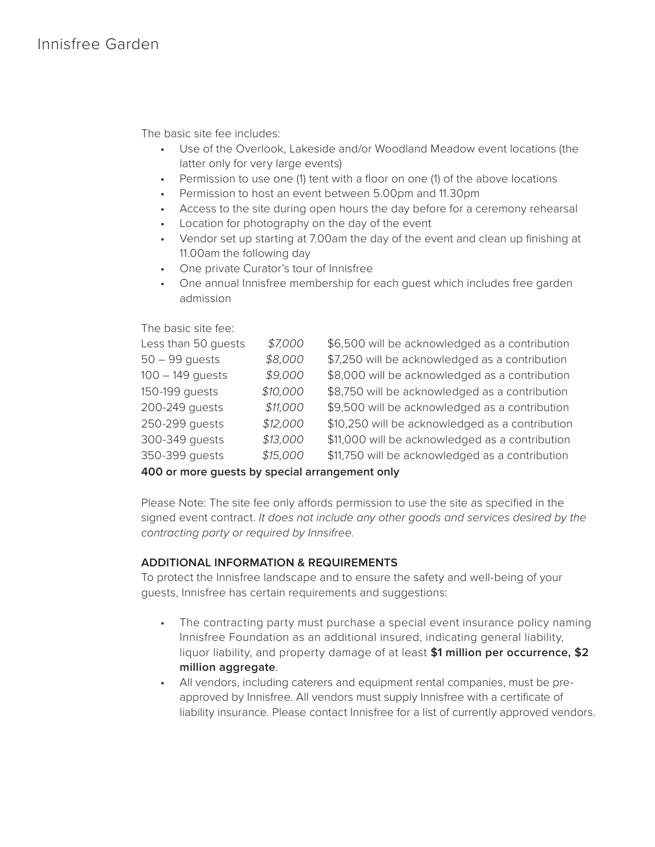The basic site fee includes:

- Use of the Overlook, Lakeside and/or Woodland Meadow event locations (the latter only for very large events)
- Permission to use one (1) tent with a floor on one (1) of the above locations
- Permission to host an event between 5.00pm and 11.30pm
- Access to the site during open hours the day before for a ceremony rehearsal
- Location for photography on the day of the event
- Vendor set up starting at 7.00am the day of the event and clean up finishing at 11.00am the following day
- One private Curator's tour of Innisfree
- One annual Innisfree membership for each guest which includes free garden admission

The basic site fee:

| \$7,000  | \$6,500 will be acknowledged as a contribution  |
|----------|-------------------------------------------------|
| \$8,000  | \$7,250 will be acknowledged as a contribution  |
| \$9,000  | \$8,000 will be acknowledged as a contribution  |
| \$10,000 | \$8,750 will be acknowledged as a contribution  |
| \$11,000 | \$9,500 will be acknowledged as a contribution  |
| \$12,000 | \$10,250 will be acknowledged as a contribution |
| \$13,000 | \$11,000 will be acknowledged as a contribution |
| \$15,000 | \$11,750 will be acknowledged as a contribution |
|          |                                                 |

**400 or more guests by special arrangement only**

Please Note: The site fee only affords permission to use the site as specified in the signed event contract. *It does not include any other goods and services desired by the contracting party or required by Innsifree.*

# **ADDITIONAL INFORMATION & REQUIREMENTS**

To protect the Innisfree landscape and to ensure the safety and well-being of your guests, Innisfree has certain requirements and suggestions:

- The contracting party must purchase a special event insurance policy naming Innisfree Foundation as an additional insured, indicating general liability, liquor liability, and property damage of at least **\$1 million per occurrence, \$2 million aggregate**.
- All vendors, including caterers and equipment rental companies, must be preapproved by Innisfree. All vendors must supply Innisfree with a certificate of liability insurance. Please contact Innisfree for a list of currently approved vendors.